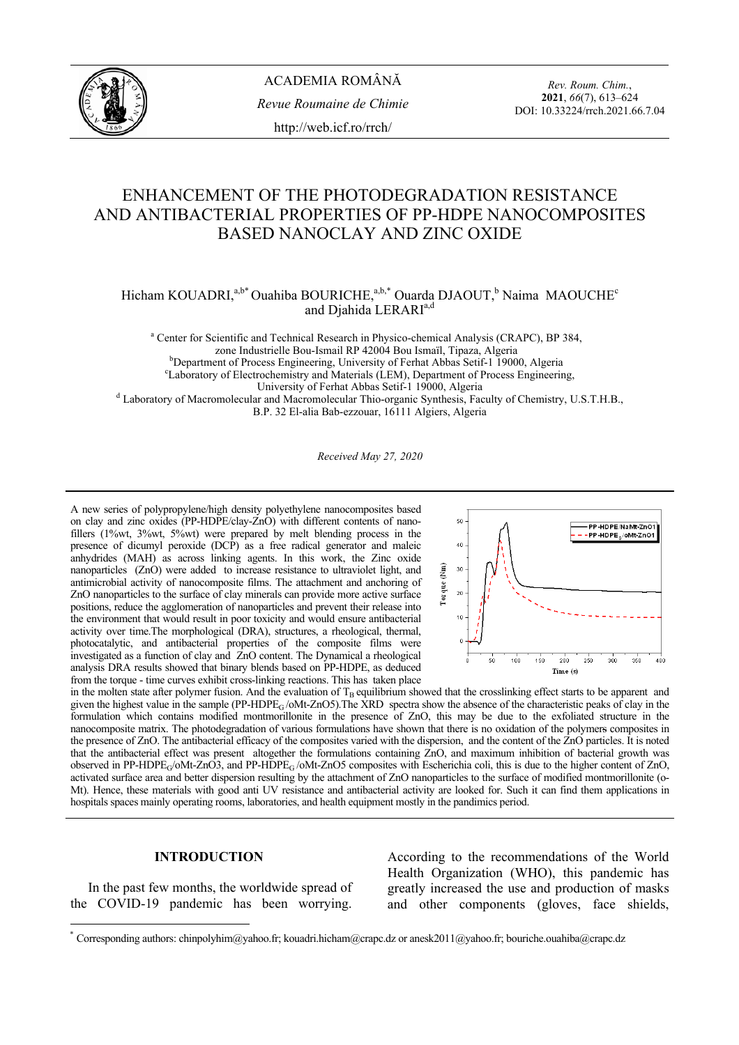

*Rev. Roum. Chim.*, **2021**, *66*(7), 613–624 DOI: 10.33224/rrch.2021.66.7.04

# ENHANCEMENT OF THE PHOTODEGRADATION RESISTANCE AND ANTIBACTERIAL PROPERTIES OF PP-HDPE NANOCOMPOSITES BASED NANOCLAY AND ZINC OXIDE

Hicham KOUADRI,<sup>a,b\*</sup> Ouahiba BOURICHE,<sup>a,b,\*</sup> Ouarda DJAOUT,<sup>b</sup> Naima MAOUCHE<sup>c</sup> and Djahida LERARI<sup>a,d</sup>

<sup>a</sup> Center for Scientific and Technical Research in Physico-chemical Analysis (CRAPC), BP 384, zone Industrielle Bou-Ismail RP 42004 Bou Ismaïl, Tipaza, Algeria b b<sub>Department of Process Engineering, University of Ferhat Abbas Setif-1 19000, Algeria</sub> <sup>e</sup>Laboratory of Electrochemistry and Materials (LEM), Department of Process Engineering,<br>University of Ferhat Abbas Setif-1 19000, Algeria University of Ferhat Abbas Setif-1 19000, Algeria<br><sup>d</sup> Laboratory of Macromolecular and Macromolecular Thio-organic Synthesis, Faculty of Chemistry, U.S.T.H.B., B.P. 32 El-alia Bab-ezzouar, 16111 Algiers, Algeria

*Received May 27, 2020*

A new series of polypropylene/high density polyethylene nanocomposites based on clay and zinc oxides (PP-HDPE/clay-ZnO) with different contents of nanofillers (1%wt, 3%wt, 5%wt) were prepared by melt blending process in the presence of dicumyl peroxide (DCP) as a free radical generator and maleic anhydrides (MAH) as across linking agents. In this work, the Zinc oxide nanoparticles (ZnO) were added to increase resistance to ultraviolet light, and antimicrobial activity of nanocomposite films. The attachment and anchoring of ZnO nanoparticles to the surface of clay minerals can provide more active surface positions, reduce the agglomeration of nanoparticles and prevent their release into the environment that would result in poor toxicity and would ensure antibacterial activity over time.The morphological (DRA), structures, a rheological, thermal, photocatalytic, and antibacterial properties of the composite films were investigated as a function of clay and ZnO content. The Dynamical a rheological analysis DRA results showed that binary blends based on PP-HDPE, as deduced from the torque - time curves exhibit cross-linking reactions. This has taken place



in the molten state after polymer fusion. And the evaluation of  $T_B$  equilibrium showed that the crosslinking effect starts to be apparent and given the highest value in the sample (PP-HDPE<sub>G</sub>/oMt-ZnO5). The XRD spectra show the absence of the characteristic peaks of clay in the formulation which contains modified montmorillonite in the presence of ZnO, this may be due to the exfoliated structure in the nanocomposite matrix. The photodegradation of various formulations have shown that there is no oxidation of the polymers composites in the presence of ZnO. The antibacterial efficacy of the composites varied with the dispersion, and the content of the ZnO particles. It is noted that the antibacterial effect was present altogether the formulations containing ZnO, and maximum inhibition of bacterial growth was observed in PP-HDPE<sub>G</sub>/oMt-ZnO3, and PP-HDPE<sub>G</sub>/oMt-ZnO5 composites with Escherichia coli, this is due to the higher content of ZnO, activated surface area and better dispersion resulting by the attachment of ZnO nanoparticles to the surface of modified montmorillonite (o-Mt). Hence, these materials with good anti UV resistance and antibacterial activity are looked for. Such it can find them applications in hospitals spaces mainly operating rooms, laboratories, and health equipment mostly in the pandimics period.

#### **INTRODUCTION\***

 In the past few months, the worldwide spread of the COVID-19 pandemic has been worrying.

l

According to the recommendations of the World Health Organization (WHO), this pandemic has greatly increased the use and production of masks and other components (gloves, face shields,

<sup>\*</sup> Corresponding authors: chinpolyhim@yahoo.fr; kouadri.hicham@crapc.dz or anesk2011@yahoo.fr; bouriche.ouahiba@crapc.dz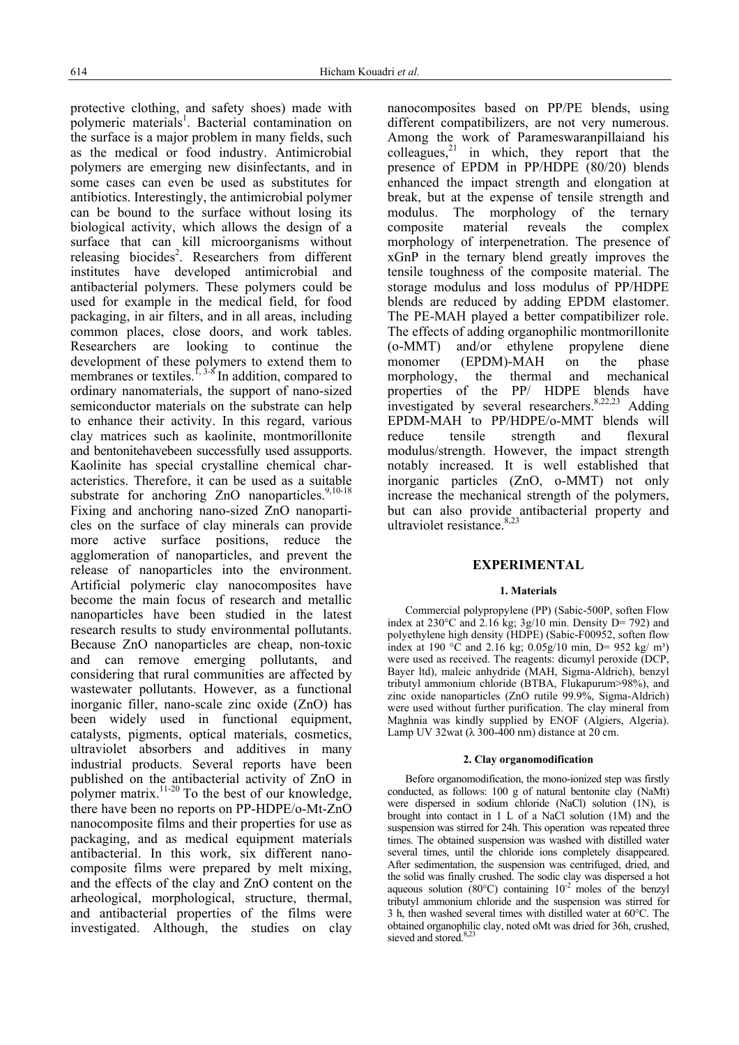protective clothing, and safety shoes) made with polymeric materials<sup>1</sup>. Bacterial contamination on the surface is a major problem in many fields, such as the medical or food industry. Antimicrobial polymers are emerging new disinfectants, and in some cases can even be used as substitutes for antibiotics. Interestingly, the antimicrobial polymer can be bound to the surface without losing its biological activity, which allows the design of a surface that can kill microorganisms without releasing biocides<sup>2</sup>. Researchers from different institutes have developed antimicrobial and antibacterial polymers. These polymers could be used for example in the medical field, for food packaging, in air filters, and in all areas, including common places, close doors, and work tables. Researchers are looking to continue the development of these polymers to extend them to membranes or textiles.<sup>1, 3-8</sup> In addition, compared to ordinary nanomaterials, the support of nano-sized semiconductor materials on the substrate can help to enhance their activity. In this regard, various clay matrices such as kaolinite, montmorillonite and bentonitehavebeen successfully used assupports. Kaolinite has special crystalline chemical characteristics. Therefore, it can be used as a suitable substrate for anchoring  $ZnO$  nanoparticles.<sup>9,10-18</sup> Fixing and anchoring nano-sized ZnO nanoparticles on the surface of clay minerals can provide more active surface positions, reduce the agglomeration of nanoparticles, and prevent the release of nanoparticles into the environment. Artificial polymeric clay nanocomposites have become the main focus of research and metallic nanoparticles have been studied in the latest research results to study environmental pollutants. Because ZnO nanoparticles are cheap, non-toxic and can remove emerging pollutants, and considering that rural communities are affected by wastewater pollutants. However, as a functional inorganic filler, nano-scale zinc oxide (ZnO) has been widely used in functional equipment, catalysts, pigments, optical materials, cosmetics, ultraviolet absorbers and additives in many industrial products. Several reports have been published on the antibacterial activity of ZnO in polymer matrix.<sup>11-20</sup> To the best of our knowledge, there have been no reports on PP-HDPE/o-Mt-ZnO nanocomposite films and their properties for use as packaging, and as medical equipment materials antibacterial. In this work, six different nanocomposite films were prepared by melt mixing, and the effects of the clay and ZnO content on the arheological, morphological, structure, thermal, and antibacterial properties of the films were investigated. Although, the studies on clay

nanocomposites based on PP/PE blends, using different compatibilizers, are not very numerous. Among the work of Parameswaranpillaiand his colleagues, $21$  in which, they report that the presence of EPDM in PP/HDPE (80/20) blends enhanced the impact strength and elongation at break, but at the expense of tensile strength and modulus. The morphology of the ternary composite material reveals the complex morphology of interpenetration. The presence of xGnP in the ternary blend greatly improves the tensile toughness of the composite material. The storage modulus and loss modulus of PP/HDPE blends are reduced by adding EPDM elastomer. The PE-MAH played a better compatibilizer role. The effects of adding organophilic montmorillonite (o-MMT) and/or ethylene propylene diene monomer (EPDM)-MAH on the phase morphology, the thermal and mechanical properties of the PP/ HDPE blends have investigated by several researchers.  $8,22,23$  Adding EPDM-MAH to PP/HDPE/o-MMT blends will reduce tensile strength and flexural modulus/strength. However, the impact strength notably increased. It is well established that inorganic particles (ZnO, o-MMT) not only increase the mechanical strength of the polymers, but can also provide antibacterial property and ultraviolet resistance.<sup>8,23</sup>

### **EXPERIMENTAL**

#### **1. Materials**

 Commercial polypropylene (PP) (Sabic-500P, soften Flow index at  $230^{\circ}$ C and  $2.16$  kg;  $3g/10$  min. Density D= 792) and polyethylene high density (HDPE) (Sabic-F00952, soften flow index at 190 °C and 2.16 kg; 0.05g/10 min, D= 952 kg/ m<sup>3</sup>) were used as received. The reagents: dicumyl peroxide (DCP, Bayer ltd), maleic anhydride (MAH, Sigma-Aldrich), benzyl tributyl ammonium chloride (BTBA, Flukapurum>98%), and zinc oxide nanoparticles (ZnO rutile 99.9%, Sigma-Aldrich) were used without further purification. The clay mineral from Maghnia was kindly supplied by ENOF (Algiers, Algeria). Lamp UV 32wat ( $\lambda$  300-400 nm) distance at 20 cm.

#### **2. Clay organomodification**

 Before organomodification, the mono-ionized step was firstly conducted, as follows: 100 g of natural bentonite clay (NaMt) were dispersed in sodium chloride (NaCl) solution (1N), is brought into contact in 1 L of a NaCl solution (1M) and the suspension was stirred for 24h. This operation was repeated three times. The obtained suspension was washed with distilled water several times, until the chloride ions completely disappeared. After sedimentation, the suspension was centrifuged, dried, and the solid was finally crushed. The sodic clay was dispersed a hot aqueous solution (80°C) containing  $10^{-2}$  moles of the benzyl tributyl ammonium chloride and the suspension was stirred for 3 h, then washed several times with distilled water at 60°C. The obtained organophilic clay, noted oMt was dried for 36h, crushed, sieved and stored.<sup>8,23</sup>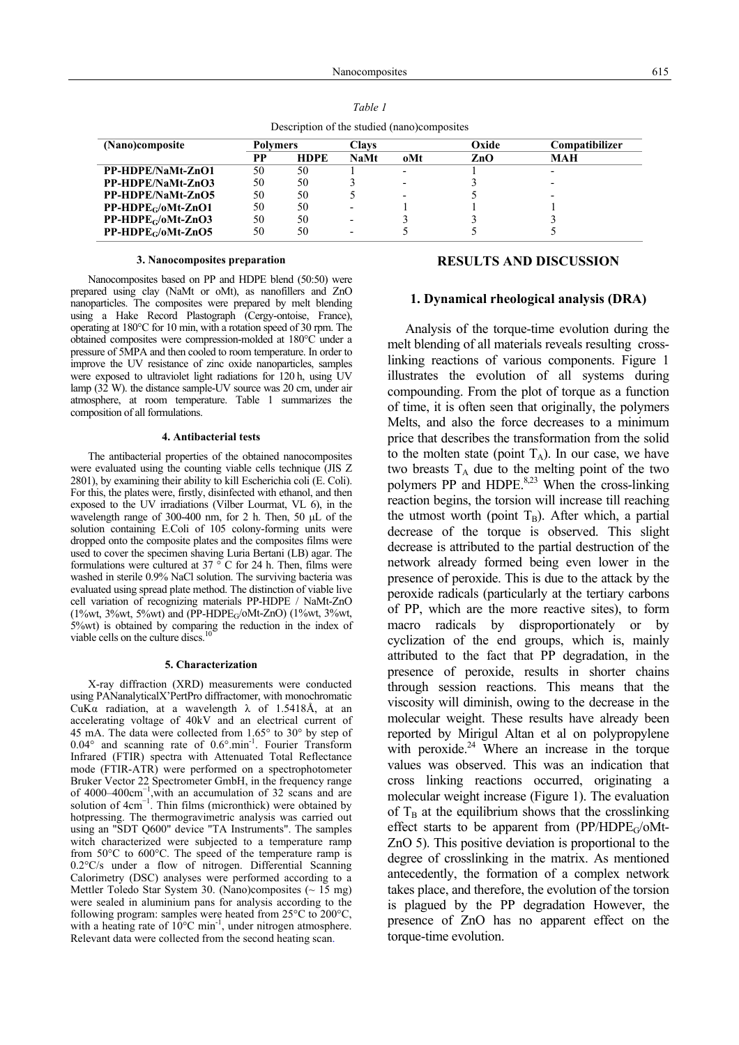| (Nano)composite       | Polvmers |             | Clavs                    |     | Oxide | Compatibilizer           |
|-----------------------|----------|-------------|--------------------------|-----|-------|--------------------------|
|                       | РP       | <b>HDPE</b> | <b>NaMt</b>              | oMt | ZnO   | MAH                      |
| PP-HDPE/NaMt-ZnO1     | 50       | 50          |                          |     |       |                          |
| PP-HDPE/NaMt-ZnO3     | 50       | 50          |                          |     |       | $\overline{\phantom{0}}$ |
| PP-HDPE/NaMt-ZnO5     | 50       | 50          |                          |     |       |                          |
| $PP-HDPEG/oMt-ZnO1$   | 50       | 50          | $\overline{\phantom{0}}$ |     |       |                          |
| $PP-HDPE_G/ oMt-ZnO3$ | 50       | 50          |                          |     |       |                          |
| $PP-HDPEG/oMt-ZnO5$   | 50       | 50          |                          |     |       |                          |

Description of the studied (nano)composites

#### **3. Nanocomposites preparation**

 Nanocomposites based on PP and HDPE blend (50:50) were prepared using clay (NaMt or oMt), as nanofillers and ZnO nanoparticles. The composites were prepared by melt blending using a Hake Record Plastograph (Cergy-ontoise, France), operating at 180°C for 10 min, with a rotation speed of 30 rpm. The obtained composites were compression-molded at 180°C under a pressure of 5MPA and then cooled to room temperature. In order to improve the UV resistance of zinc oxide nanoparticles, samples were exposed to ultraviolet light radiations for 120 h, using UV lamp (32 W). the distance sample-UV source was 20 cm, under air atmosphere, at room temperature. Table 1 summarizes the composition of all formulations.

#### **4. Antibacterial tests**

 The antibacterial properties of the obtained nanocomposites were evaluated using the counting viable cells technique (JIS Z 2801), by examining their ability to kill Escherichia coli (E. Coli). For this, the plates were, firstly, disinfected with ethanol, and then exposed to the UV irradiations (Vilber Lourmat, VL 6), in the wavelength range of 300-400 nm, for 2 h. Then, 50 μL of the solution containing E.Coli of 105 colony-forming units were dropped onto the composite plates and the composites films were used to cover the specimen shaving Luria Bertani (LB) agar. The formulations were cultured at  $37 \degree$ C for 24 h. Then, films were washed in sterile 0.9% NaCl solution. The surviving bacteria was evaluated using spread plate method. The distinction of viable live cell variation of recognizing materials PP-HDPE / NaMt-ZnO (1%wt, 3%wt, 5%wt) and (PP-HDPEG/oMt-ZnO) (1%wt, 3%wt, 5%wt) is obtained by comparing the reduction in the index of viable cells on the culture discs.<sup>10</sup>

#### **5. Characterization**

 X-ray diffraction (XRD) measurements were conducted using PANanalyticalX'PertPro diffractomer, with monochromatic CuKα radiation, at a wavelength λ of 1.5418Å, at an accelerating voltage of 40kV and an electrical current of 45 mA. The data were collected from 1.65° to 30° by step of 0.04 $\degree$  and scanning rate of 0.6 $\degree$ .min<sup>-1</sup>. Fourier Transform Infrared (FTIR) spectra with Attenuated Total Reflectance mode (FTIR-ATR) were performed on a spectrophotometer Bruker Vector 22 Spectrometer GmbH, in the frequency range of 4000–400cm<sup>−</sup><sup>1</sup> ,with an accumulation of 32 scans and are solution of  $4cm^{-1}$ . Thin films (micronthick) were obtained by hotpressing. The thermogravimetric analysis was carried out using an "SDT Q600" device "TA Instruments". The samples witch characterized were subjected to a temperature ramp from 50°C to 600°C. The speed of the temperature ramp is 0.2°C/s under a flow of nitrogen. Differential Scanning Calorimetry (DSC) analyses were performed according to a Mettler Toledo Star System 30. (Nano)composites  $( \sim 15 \text{ mg})$ were sealed in aluminium pans for analysis according to the following program: samples were heated from 25°C to 200°C, with a heating rate of  $10^{\circ}$ C min<sup>-1</sup>, under nitrogen atmosphere. Relevant data were collected from the second heating scan.

### **RESULTS AND DISCUSSION**

#### **1. Dynamical rheological analysis (DRA)**

 Analysis of the torque-time evolution during the melt blending of all materials reveals resulting crosslinking reactions of various components. Figure 1 illustrates the evolution of all systems during compounding. From the plot of torque as a function of time, it is often seen that originally, the polymers Melts, and also the force decreases to a minimum price that describes the transformation from the solid to the molten state (point  $T_A$ ). In our case, we have two breasts  $T_A$  due to the melting point of the two polymers PP and HDPE.<sup>8,23</sup> When the cross-linking reaction begins, the torsion will increase till reaching the utmost worth (point  $T_B$ ). After which, a partial decrease of the torque is observed. This slight decrease is attributed to the partial destruction of the network already formed being even lower in the presence of peroxide. This is due to the attack by the peroxide radicals (particularly at the tertiary carbons of PP, which are the more reactive sites), to form macro radicals by disproportionately or by cyclization of the end groups, which is, mainly attributed to the fact that PP degradation, in the presence of peroxide, results in shorter chains through session reactions. This means that the viscosity will diminish, owing to the decrease in the molecular weight. These results have already been reported by Mirigul Altan et al on polypropylene with peroxide. $24$  Where an increase in the torque values was observed. This was an indication that cross linking reactions occurred, originating a molecular weight increase (Figure 1). The evaluation of  $T_B$  at the equilibrium shows that the crosslinking effect starts to be apparent from (PP/HDPE<sub>G</sub>/oMt-ZnO 5). This positive deviation is proportional to the degree of crosslinking in the matrix. As mentioned antecedently, the formation of a complex network takes place, and therefore, the evolution of the torsion is plagued by the PP degradation However, the presence of ZnO has no apparent effect on the torque-time evolution.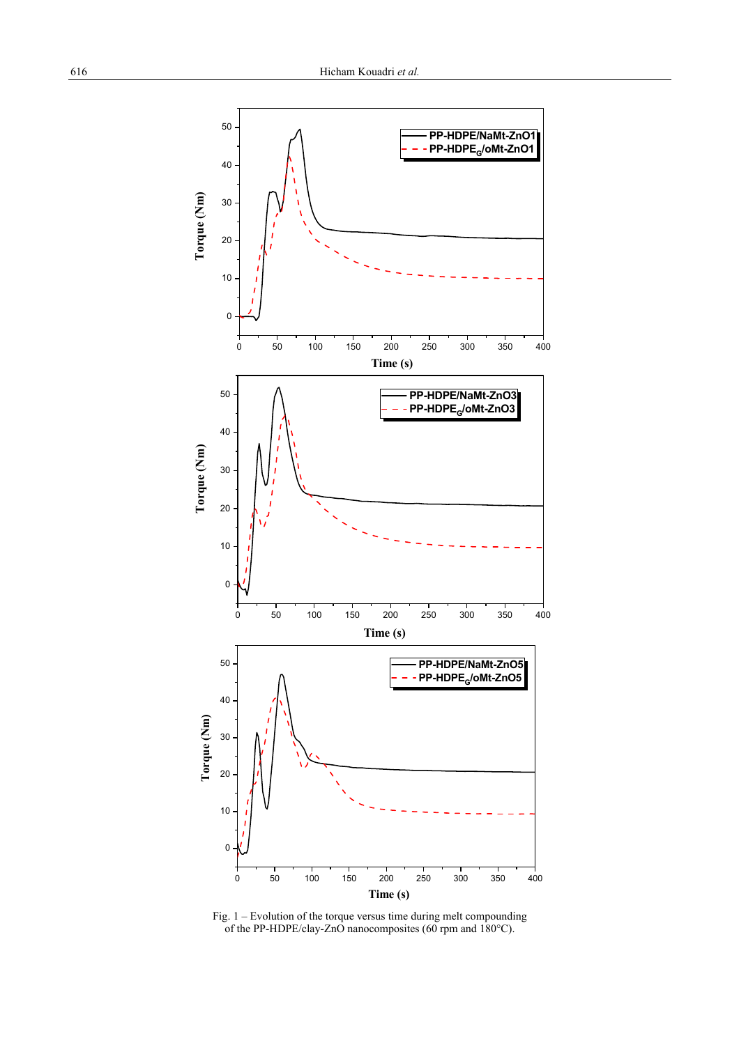

Fig. 1 – Evolution of the torque versus time during melt compounding of the PP-HDPE/clay-ZnO nanocomposites (60 rpm and 180°C).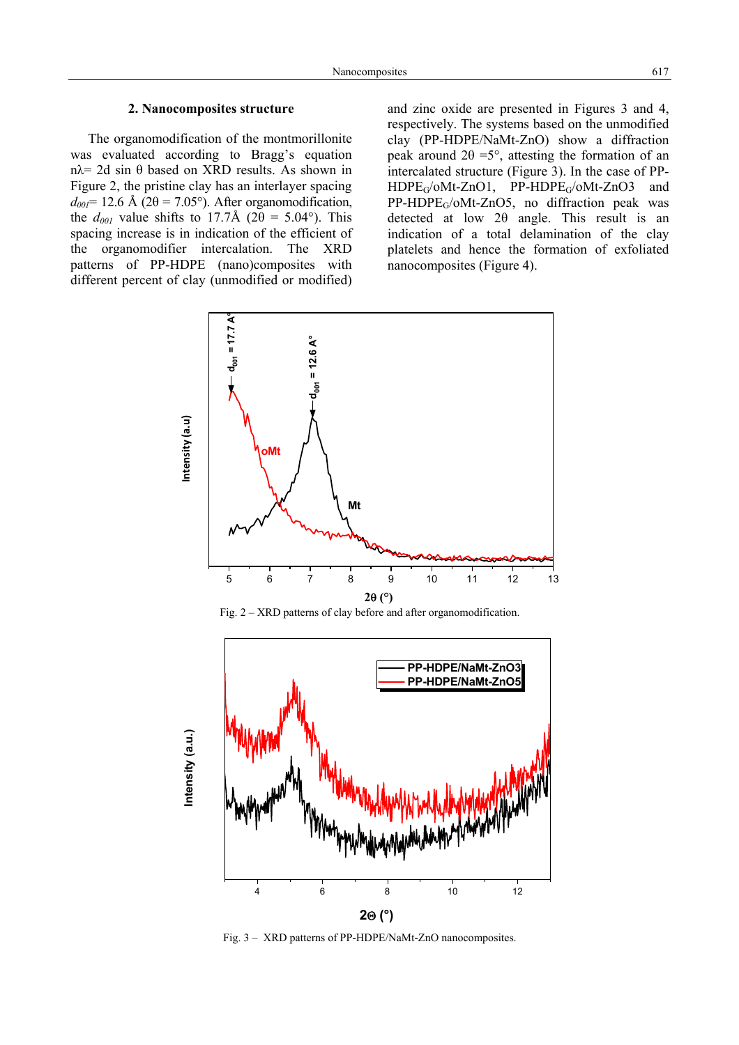# **2. Nanocomposites structure**

 The organomodification of the montmorillonite was evaluated according to Bragg's equation  $nλ = 2d \sin θ$  based on XRD results. As shown in Figure 2, the pristine clay has an interlayer spacing  $d_{00}$ = 12.6 Å (2 $\theta$  = 7.05°). After organomodification, the  $d_{001}$  value shifts to 17.7Å (2 $\theta$  = 5.04°). This spacing increase is in indication of the efficient of the organomodifier intercalation. The XRD patterns of PP-HDPE (nano)composites with different percent of clay (unmodified or modified) and zinc oxide are presented in Figures 3 and 4, respectively. The systems based on the unmodified clay (PP-HDPE/NaMt-ZnO) show a diffraction peak around  $2\theta = 5^{\circ}$ , attesting the formation of an intercalated structure (Figure 3). In the case of PP-HDPEG/oMt-ZnO1, PP-HDPEG/oMt-ZnO3 and PP-HDPEG/oMt-ZnO5, no diffraction peak was detected at low 2θ angle. This result is an indication of a total delamination of the clay platelets and hence the formation of exfoliated nanocomposites (Figure 4).



Fig. 2 – XRD patterns of clay before and after organomodification.



Fig. 3 – XRD patterns of PP-HDPE/NaMt-ZnO nanocomposites.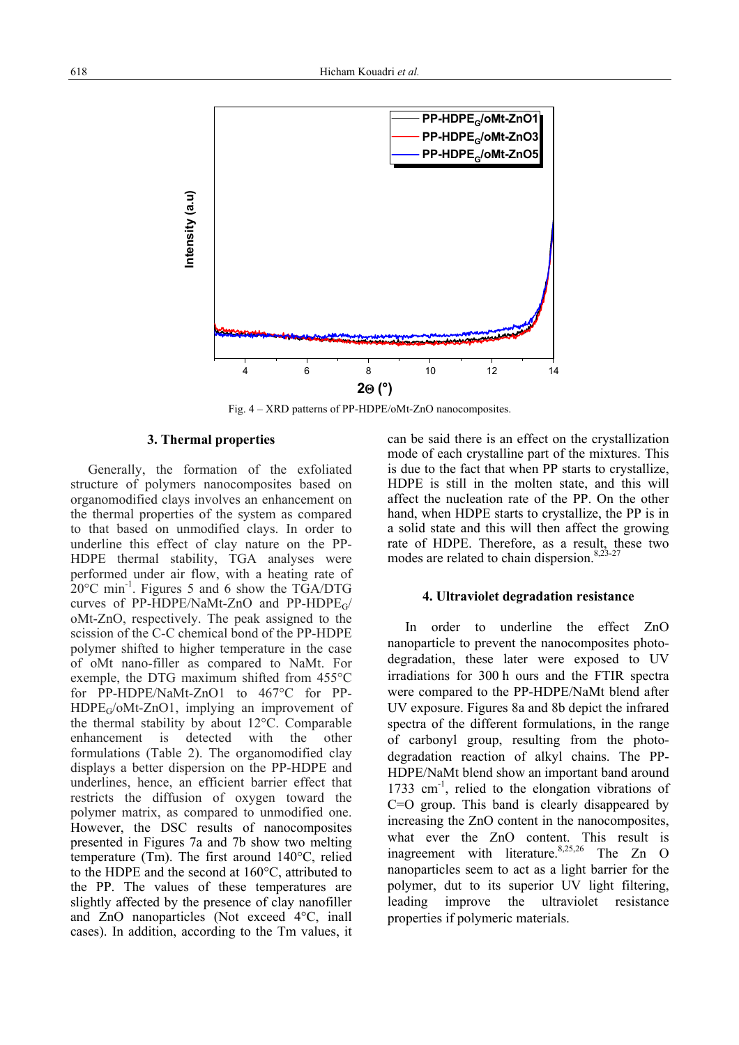

Fig. 4 – XRD patterns of PP-HDPE/oMt-ZnO nanocomposites.

# **3. Thermal properties**

Generally, the formation of the exfoliated structure of polymers nanocomposites based on organomodified clays involves an enhancement on the thermal properties of the system as compared to that based on unmodified clays. In order to underline this effect of clay nature on the PP-HDPE thermal stability, TGA analyses were performed under air flow, with a heating rate of 20°C min-1. Figures 5 and 6 show the TGA/DTG curves of PP-HDPE/NaMt-ZnO and PP-HDPEG/ oMt-ZnO, respectively. The peak assigned to the scission of the C-C chemical bond of the PP-HDPE polymer shifted to higher temperature in the case of oMt nano-filler as compared to NaMt. For exemple, the DTG maximum shifted from 455°C for PP-HDPE/NaMt-ZnO1 to 467°C for PP-HDPEG/oMt-ZnO1, implying an improvement of the thermal stability by about 12°C. Comparable enhancement is detected with the other formulations (Table 2). The organomodified clay displays a better dispersion on the PP-HDPE and underlines, hence, an efficient barrier effect that restricts the diffusion of oxygen toward the polymer matrix, as compared to unmodified one. However, the DSC results of nanocomposites presented in Figures 7a and 7b show two melting temperature (Tm). The first around 140°C, relied to the HDPE and the second at 160°C, attributed to the PP. The values of these temperatures are slightly affected by the presence of clay nanofiller and ZnO nanoparticles (Not exceed 4°C, inall cases). In addition, according to the Tm values, it can be said there is an effect on the crystallization mode of each crystalline part of the mixtures. This is due to the fact that when PP starts to crystallize, HDPE is still in the molten state, and this will affect the nucleation rate of the PP. On the other hand, when HDPE starts to crystallize, the PP is in a solid state and this will then affect the growing rate of HDPE. Therefore, as a result, these two modes are related to chain dispersion.  $8,23-27$ 

### **4. Ultraviolet degradation resistance**

In order to underline the effect ZnO nanoparticle to prevent the nanocomposites photodegradation, these later were exposed to UV irradiations for 300 h ours and the FTIR spectra were compared to the PP-HDPE/NaMt blend after UV exposure. Figures 8a and 8b depict the infrared spectra of the different formulations, in the range of carbonyl group, resulting from the photodegradation reaction of alkyl chains. The PP-HDPE/NaMt blend show an important band around  $1733 \text{ cm}^{-1}$ , relied to the elongation vibrations of C=O group. This band is clearly disappeared by increasing the ZnO content in the nanocomposites, what ever the ZnO content. This result is inagreement with literature.<sup>8,25,26</sup> The Zn O nanoparticles seem to act as a light barrier for the polymer, dut to its superior UV light filtering, leading improve the ultraviolet resistance properties if polymeric materials.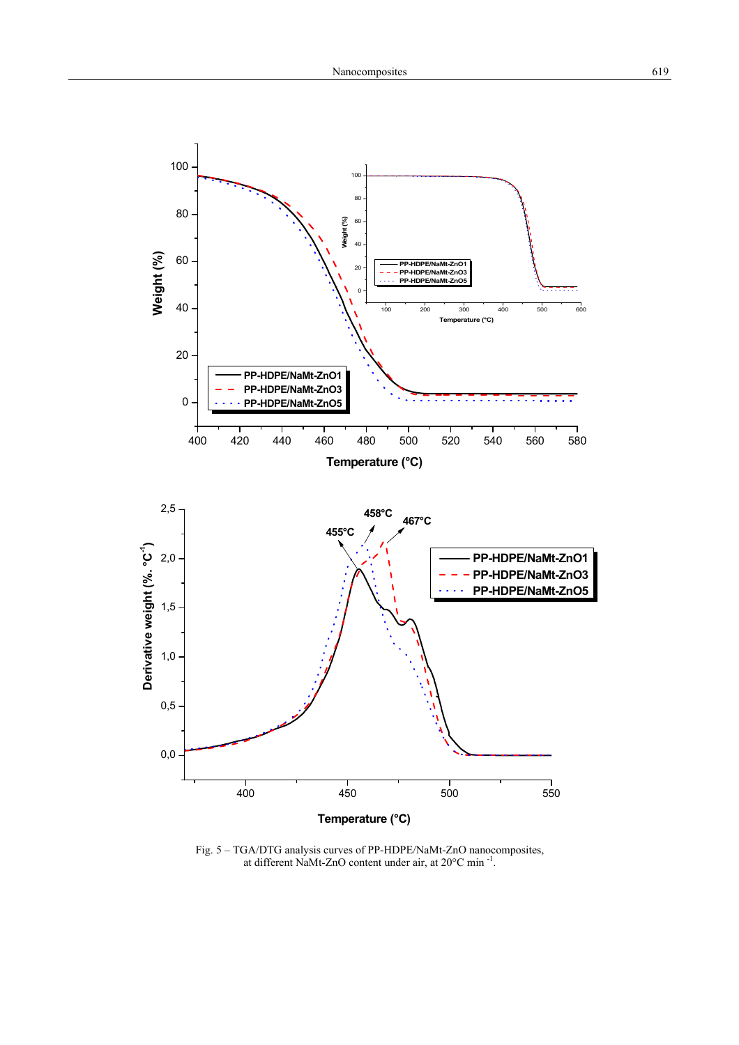

Fig. 5 – TGA/DTG analysis curves of PP-HDPE/NaMt-ZnO nanocomposites, at different NaMt-ZnO content under air, at 20°C min -1.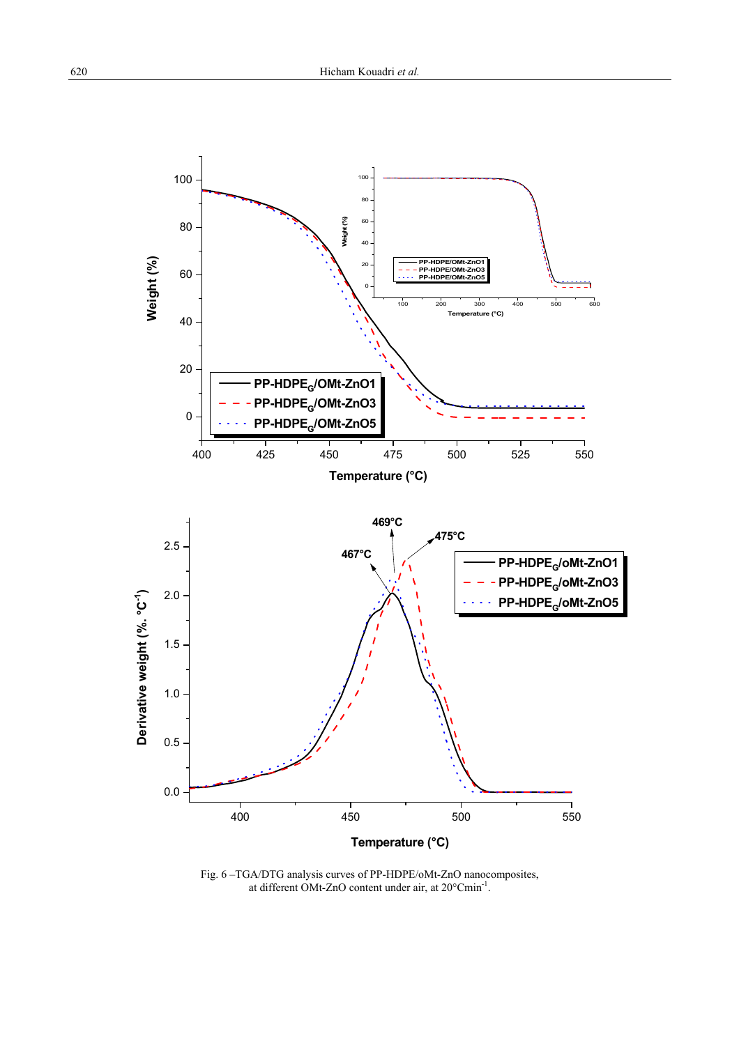

Fig. 6 –TGA/DTG analysis curves of PP-HDPE/oMt-ZnO nanocomposites, at different OMt-ZnO content under air, at 20°Cmin-1.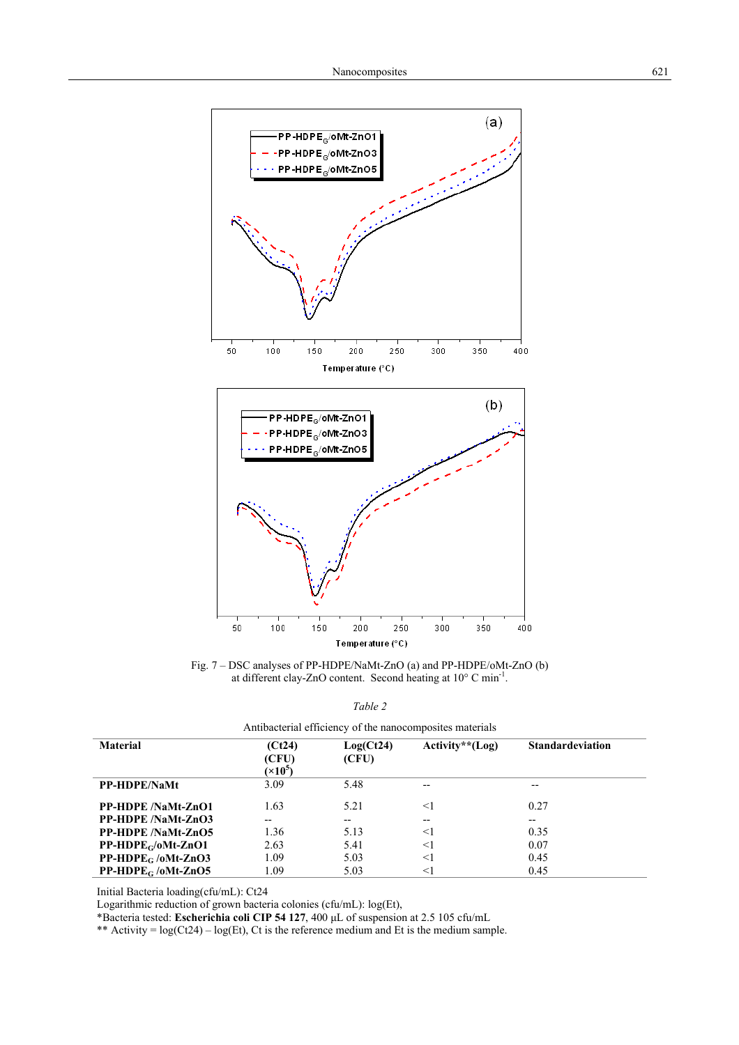

Fig. 7 – DSC analyses of PP-HDPE/NaMt-ZnO (a) and PP-HDPE/oMt-ZnO (b) at different clay-ZnO content. Second heating at 10° C min-1.

| Antibacterial efficiency of the nanocomposites materials |                                    |                    |                   |                         |  |  |  |  |
|----------------------------------------------------------|------------------------------------|--------------------|-------------------|-------------------------|--|--|--|--|
| <b>Material</b>                                          | (Ct24)<br>(CFU)<br>$(\times 10^5)$ | Log(Ct24)<br>(CFU) | $Activity**(Log)$ | <b>Standardeviation</b> |  |  |  |  |
| <b>PP-HDPE/NaMt</b>                                      | 3.09                               | 5.48               | $-$               | --                      |  |  |  |  |
| <b>PP-HDPE</b> /NaMt-ZnO1                                | 1.63                               | 5.21               | $\leq$ 1          | 0.27                    |  |  |  |  |
| <b>PP-HDPE</b> /NaMt-ZnO3                                | --                                 | --                 |                   | --                      |  |  |  |  |
| <b>PP-HDPE</b> /NaMt-ZnO5                                | 1.36                               | 5.13               | $\leq$ 1          | 0.35                    |  |  |  |  |
| $PP-HDPEG/oMt-ZnO1$                                      | 2.63                               | 5.41               | $\leq$ 1          | 0.07                    |  |  |  |  |
| $PP-HDPE_G / oMt-ZnO3$                                   | 1.09                               | 5.03               | $\leq$ 1          | 0.45                    |  |  |  |  |
| $PP-HDPEG / oMt-ZnO5$                                    | 1.09                               | 5.03               | <1                | 0.45                    |  |  |  |  |

*Table 2*

Initial Bacteria loading(cfu/mL): Ct24 Logarithmic reduction of grown bacteria colonies (cfu/mL): log(Et),

\*Bacteria tested: **Escherichia coli CIP 54 127**, 400 μL of suspension at 2.5 105 cfu/mL

\*\* Activity =  $log(Ct24) - log(Et)$ , Ct is the reference medium and Et is the medium sample.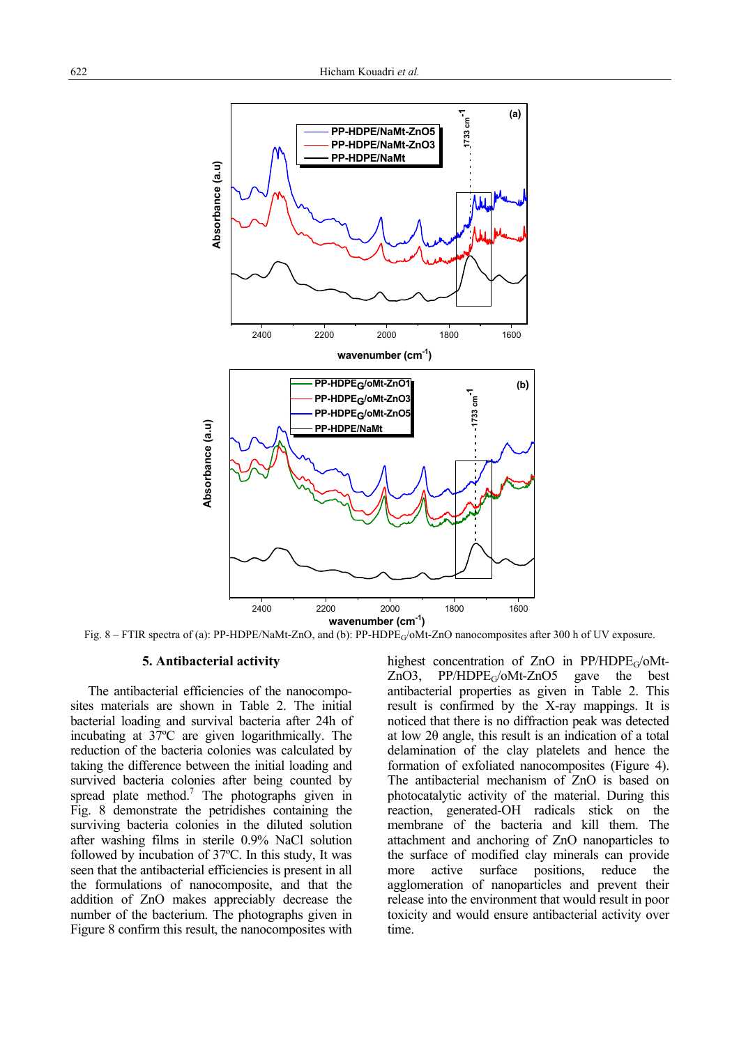

Fig. 8 – FTIR spectra of (a): PP-HDPE/NaMt-ZnO, and (b): PP-HDPEG/oMt-ZnO nanocomposites after 300 h of UV exposure.

### **5. Antibacterial activity**

 The antibacterial efficiencies of the nanocomposites materials are shown in Table 2. The initial bacterial loading and survival bacteria after 24h of incubating at 37ºC are given logarithmically. The reduction of the bacteria colonies was calculated by taking the difference between the initial loading and survived bacteria colonies after being counted by spread plate method.<sup>7</sup> The photographs given in Fig. 8 demonstrate the petridishes containing the surviving bacteria colonies in the diluted solution after washing films in sterile 0.9% NaCl solution followed by incubation of 37ºC. In this study, It was seen that the antibacterial efficiencies is present in all the formulations of nanocomposite, and that the addition of ZnO makes appreciably decrease the number of the bacterium. The photographs given in Figure 8 confirm this result, the nanocomposites with

highest concentration of ZnO in  $PP/HDPE<sub>G</sub>/oMt$ <br>ZnO3,  $PP/HDPE<sub>G</sub>/oMt$ -ZnO5 gave the best  $PP/HDPE<sub>G</sub>/oMt-ZnO5$ antibacterial properties as given in Table 2. This result is confirmed by the X-ray mappings. It is noticed that there is no diffraction peak was detected at low 2θ angle, this result is an indication of a total delamination of the clay platelets and hence the formation of exfoliated nanocomposites (Figure 4). The antibacterial mechanism of ZnO is based on photocatalytic activity of the material. During this reaction, generated-OH radicals stick on the membrane of the bacteria and kill them. The attachment and anchoring of ZnO nanoparticles to the surface of modified clay minerals can provide more active surface positions, reduce the agglomeration of nanoparticles and prevent their release into the environment that would result in poor toxicity and would ensure antibacterial activity over time.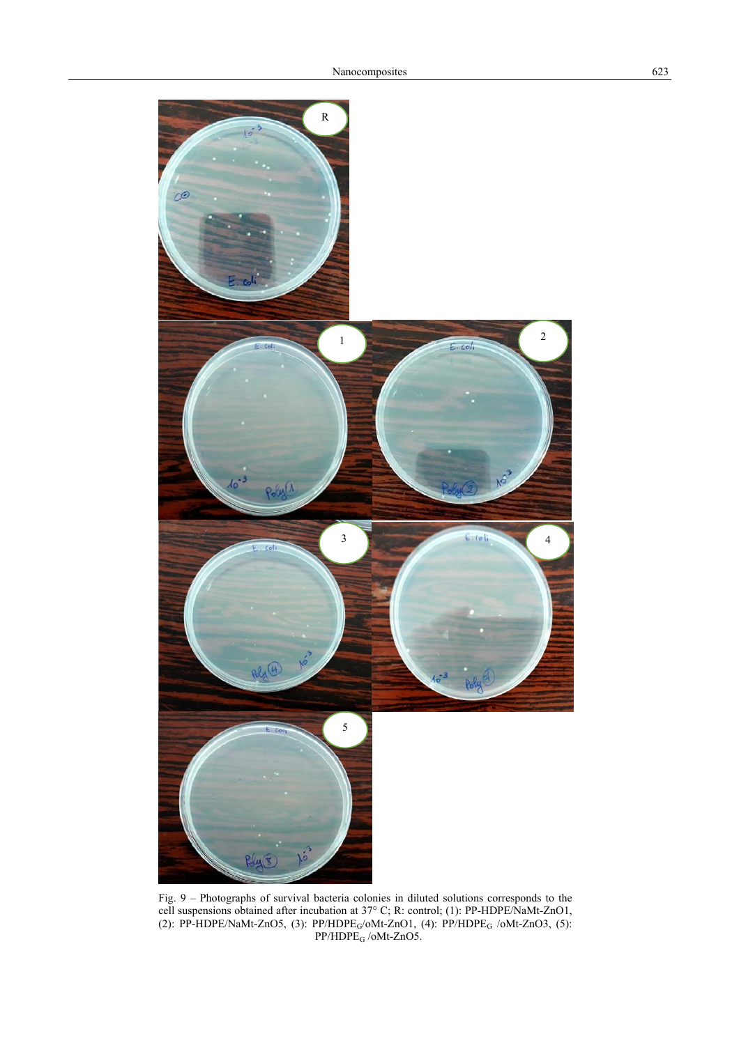

Fig. 9 – Photographs of survival bacteria colonies in diluted solutions corresponds to the cell suspensions obtained after incubation at 37° C; R: control; (1): PP-HDPE/NaMt-ZnO1, (2): PP-HDPE/NaMt-ZnO5, (3):  $PP/HDPE<sub>G</sub>/oMt-ZnO1$ , (4):  $PP/HDPE<sub>G</sub> /oMt-ZnO3$ , (5):  $PP/HDPE$ <sub>G</sub> /oMt-ZnO5.